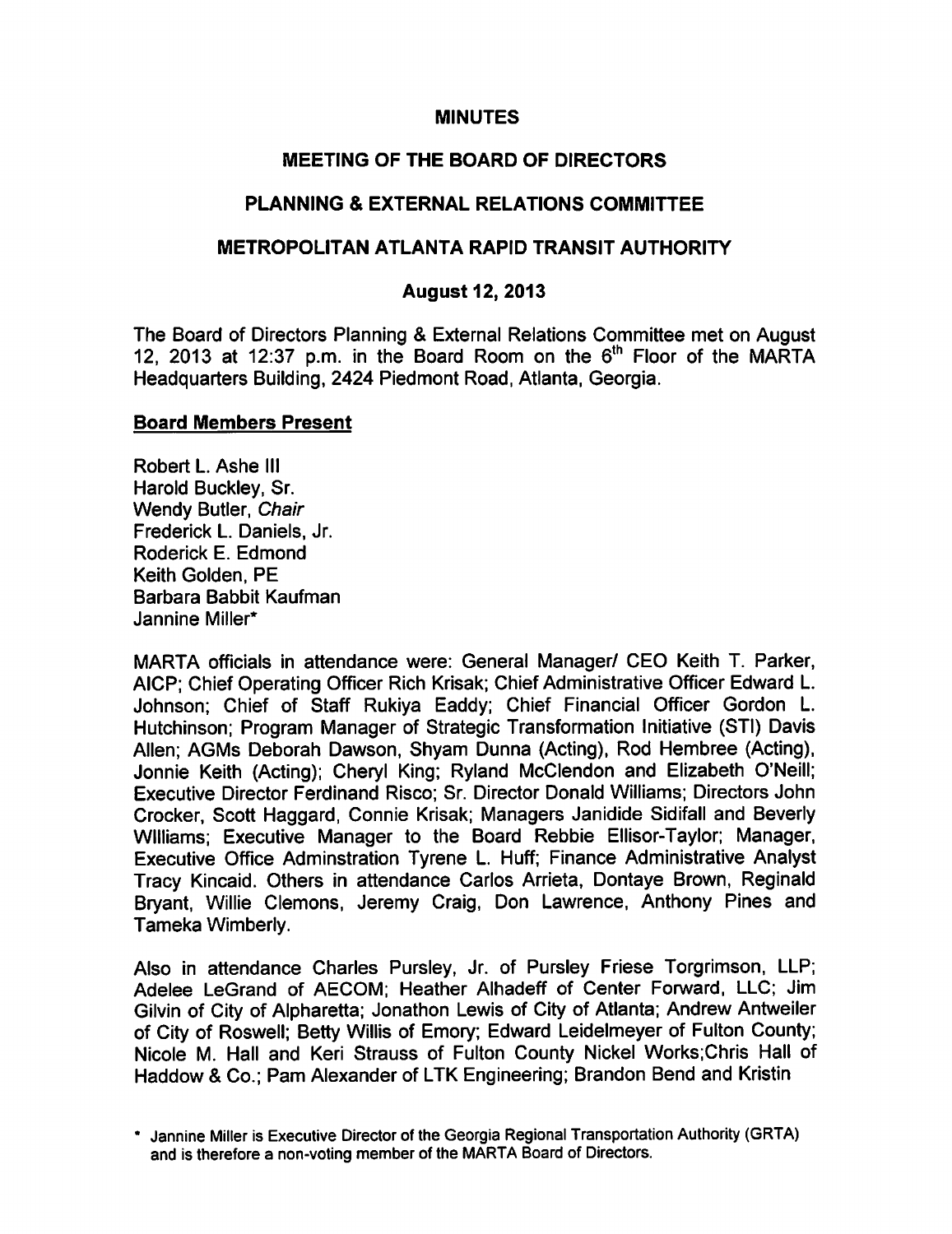## **MINUTES**

## MEETING OF THE BOARD OF DIRECTORS

## PLANNING & EXTERNAL RELATIONS COMMITTEE

### METROPOLITAN ATLANTA RAPID TRANSIT AUTHORITY

## August 12, 2013

The Board of Directors Planning & External Relations Committee met on August 12, 2013 at 12:37 p.m. in the Board Room on the  $6<sup>th</sup>$  Floor of the MARTA Headquarters Building, 2424 Piedmont Road, Atlanta, Georgia.

#### Board Members Present

Robert L. Ashe III Harold Buckley, Sr. Wendy Butler, Chair Frederick L. Daniels, Jr. Roderick E. Edmond Keith Golden, PE Barbara Babbit Kaufman Jannine Miller\*

MARTA officials in attendance were: General Manager/ CEO Keith T. Parker, AlCP; Chief Operating Officer Rich Krisak; Chief Administrative Officer Edward L. Johnson; Chief of Staff Rukiya Eaddy; Chief Financial Officer Gordon L. Hutchinson; Program Manager of Strategic Transformation Initiative (STI) Davis Allen; AGMs Deborah Dawson, Shyam Dunna (Acting), Rod Hembree (Acting), Jonnie Keith (Acting); Cheryl King; Ryland McClendon and Elizabeth O'Neill; Executive Director Ferdinand Risco; Sr. Director Donald Williams; Directors John Crocker, Scott Haggard, Connie Krisak; Managers Janidide Sidifall and Beverly Williams; Executive Manager to the Board Rebbie Ellisor-Taylor; Manager, Executive Office Adminstration Tyrene L. Huff; Finance Administrative Analyst Tracy Kincaid. Others in attendance Carlos Arrieta, Dontaye Brown, Reginald Bryant, Willie demons, Jeremy Craig, Don Lawrence, Anthony Pines and Tameka Wimberly.

Also in attendance Charles Pursley, Jr. of Pursley Friese Torgrimson, LLP; Adelee LeGrand of AECOM; Heather Alhadeff of Center Forward, LLC; Jim Gilvin of City of Alpharetta; Jonathon Lewis of City of Atlanta; Andrew Antweiler of City of Roswell; Betty Willis of Emory; Edward Leidelmeyer of Fulton County; Nicole M. Hall and Keri Strauss of Fulton County Nickel Works;Chris Hall of Haddow & Co.; Pam Alexander of LTK Engineering; Brandon Bend and Kristin

Jannine Miller is Executive Director of the Georgia Regional Transportation Authority (GRTA) and is therefore a non-voting member of the MARTA Board of Directors.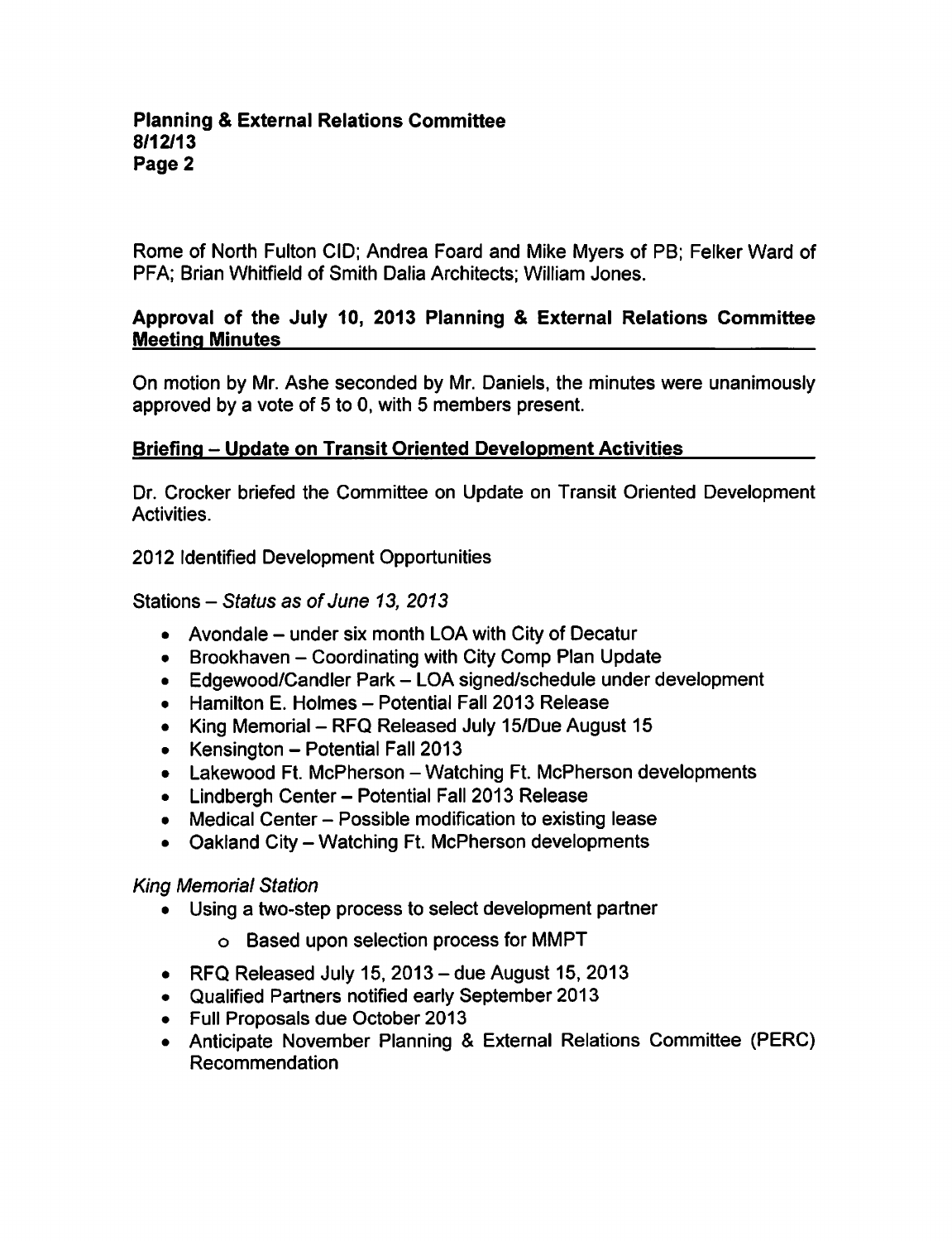Rome of North Fulton CID; Andrea Foard and Mike Myers of PB; Felker Ward of PFA; Brian Whitfield of Smith Dalia Architects; William Jones.

## Approval of the July 10, 2013 Planning & External Relations Committee Meeting Minutes

On motion by Mr. Ashe seconded by Mr. Daniels, the minutes were unanimously approved by a vote of  $5$  to 0, with  $5$  members present.

## Briefing – Update on Transit Oriented Development Activities

Dr. Crocker briefed the Committee on Update on Transit Oriented Development Activities.

2012 Identified Development Opportunities

Stations  $-$  Status as of June 13, 2013

- Avondale  $-$  under six month LOA with City of Decatur
- Brookhaven Coordinating with City Comp Plan Update
- Edgewood/Candler Park LOA signed/schedule under development
- $\bullet$  Hamilton E. Holmes Potential Fall 2013 Release
- King Memorial RFQ Released July 15/Due August 15
- Kensington  $-$  Potential Fall 2013
- Lakewood Ft. McPherson Watching Ft. McPherson developments
- Lindbergh Center Potential Fall 2013 Release
- Medical Center Possible modification to existing lease
- $\bullet$  Oakland City Watching Ft. McPherson developments

## King Memorial Station

- Using a two-step process to select development partner
	- Based upon selection process for MMPT
- RFQ Released July 15, 2013 due August 15, 2013
- Qualified Partners notified early September 2013
- Full Proposals due October 2013
- Anticipate November Planning & External Relations Committee (PERC) Recommendation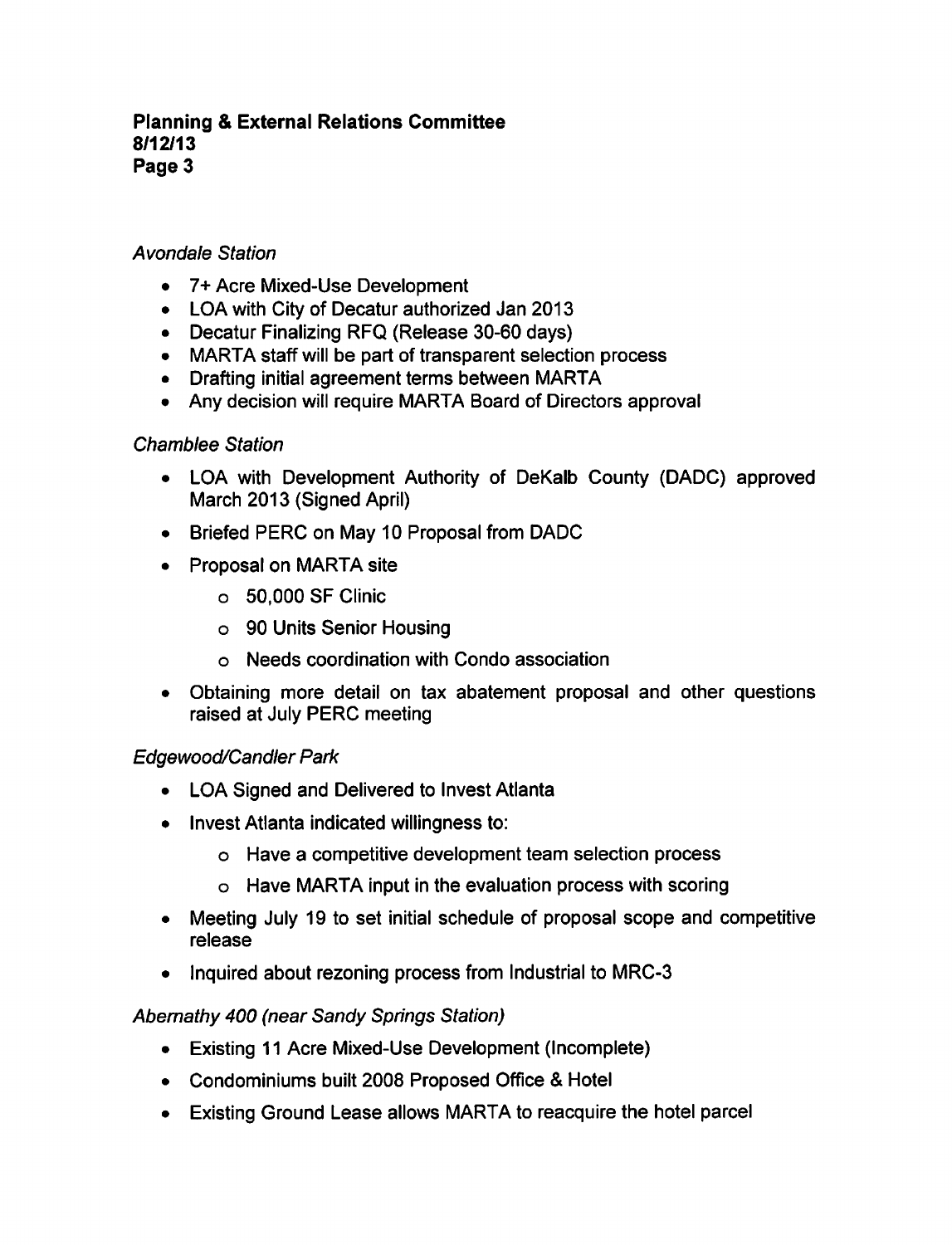## Avondale Station

- 7+ Acre Mixed-Use Development
- LOA with City of Decatur authorized Jan 2013
- Decatur Finalizing RFQ (Release 30-60 days)
- MARTA staff will be part of transparent selection process
- Drafting initial agreement terms between MARTA
- Any decision will require MARTA Board of Directors approval

## Chamblee Station

- LOA with Development Authority of DeKalb County (DADC) approved March 2013 (Signed April)
- Briefed PERC on May 10 Proposal from DADC
- Proposal on MARTA site
	- 50,000 SF Clinic
	- 90 Units Senior Housing
	- Needs coordination with Condo association
- Obtaining more detail on tax abatement proposal and other questions raised at July PERC meeting

# Edgewood/Candler Park

- LOA Signed and Delivered to Invest Atlanta
- Invest Atlanta indicated willingness to:
	- o Have a competitive development team selection process
	- Have MARTA input in the evaluation process with scoring
- Meeting July 19 to set initial schedule of proposal scope and competitive release
- Inquired about rezoning process from Industrial to MRC-3

# Abernathy 400 (near Sandy Springs Station)

- Existing 11 Acre Mixed-Use Development (Incomplete)
- Condominiums built 2008 Proposed Office & Hotel
- Existing Ground Lease allows MARTA to reacquire the hotel parcel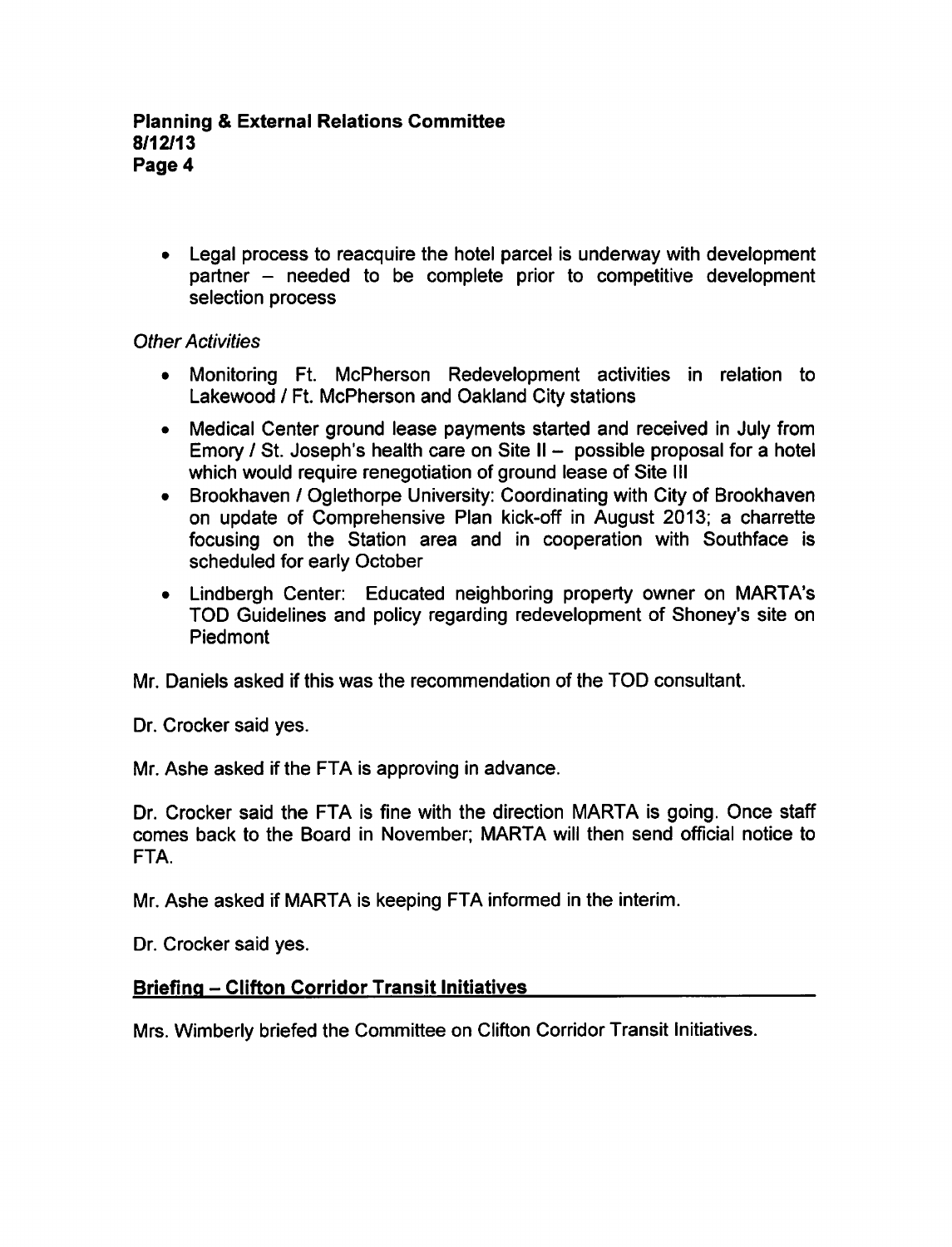Legal process to reacquire the hotel parcel is underway with development partner – needed to be complete prior to competitive development selection process

## Other Activities

- Monitoring Ft. McPherson Redevelopment activities in relation to  $\bullet$ Lakewood / Ft. McPherson and Oakland City stations
- Medical Center ground lease payments started and received in July from Emory / St. Joseph's health care on Site II - possible proposal for a hotel which would require renegotiation of ground lease of Site III
- Brookhaven / Oglethorpe University: Coordinating with City of Brookhaven on update of Comprehensive Plan kick-off in August 2013; a charrette focusing on the Station area and in cooperation with Southface is scheduled for early October
- Lindbergh Center: Educated neighboring property owner on MARTA's TOD Guidelines and policy regarding redevelopment of Shoney's site on Piedmont

Mr. Daniels asked if this was the recommendation of the TOD consultant.

Dr. Crocker said yes.

Mr. Ashe asked if the FTA is approving in advance.

Dr. Crocker said the FTA is fine with the direction MARTA is going. Once staff comes back to the Board in November; MARTA will then send official notice to FTA.

Mr. Ashe asked if MARTA is keeping FTA informed in the interim.

Dr. Crocker said yes.

# Briefing - Clifton Corridor Transit Initiatives

Mrs. Wimberly briefed the Committee on Clifton Corridor Transit Initiatives.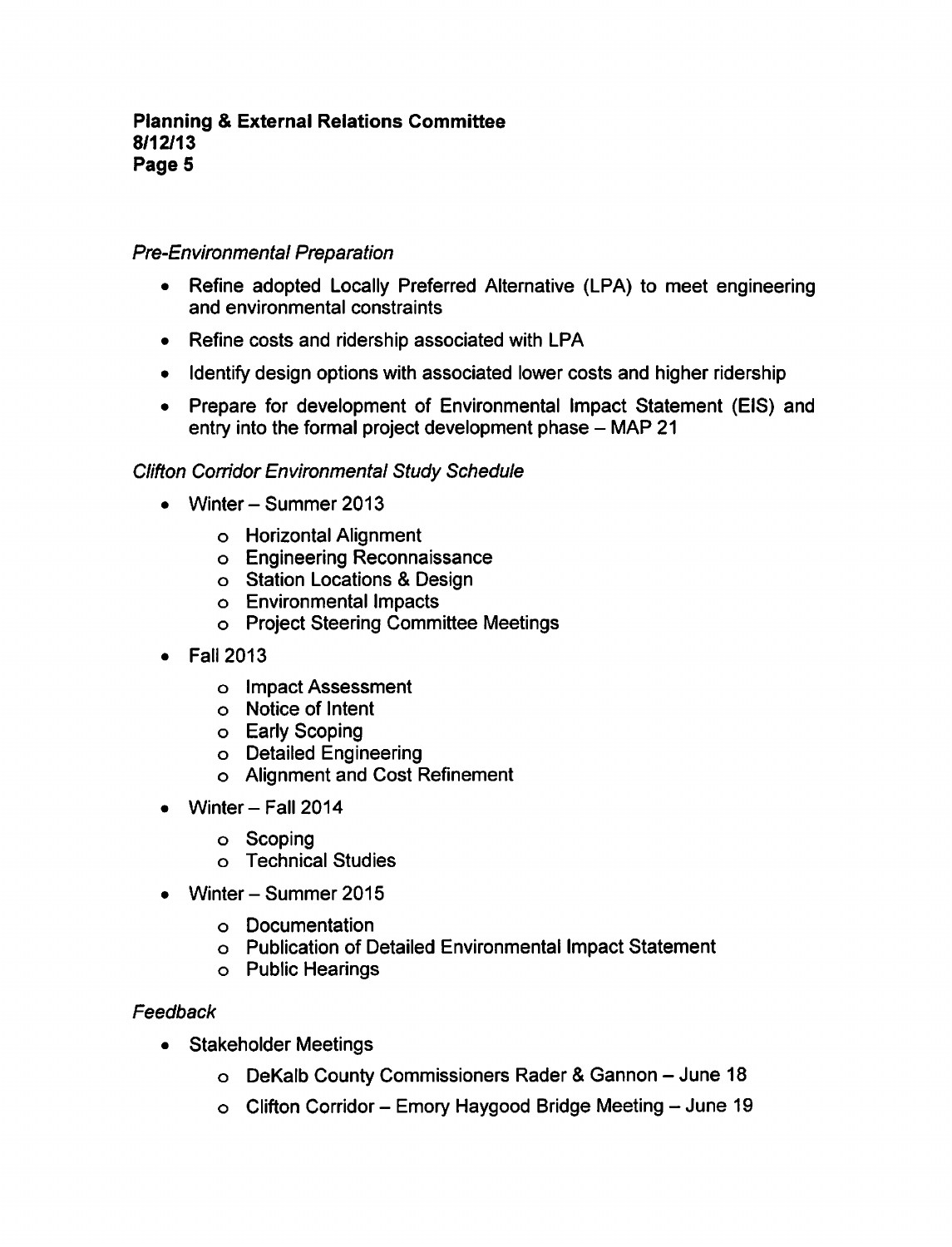## Pre-Environmental Preparation

- Refine adopted Locally Preferred Alternative (LPA) to meet engineering  $\bullet$ and environmental constraints
- Refine costs and ridership associated with LPA
- Identify design options with associated lower costs and higher ridership
- Prepare for development of Environmental Impact Statement (EIS) and entry into the formal project development phase  $-$  MAP 21

## Clifton Corridor Environmental Study Schedule

- Winter Summer 2013
	- Horizontal Alignment
	- Engineering Reconnaissance
	- o Station Locations & Design
	- Environmental Impacts
	- Project Steering Committee Meetings
- Fall 2013  $\bullet$ 
	- Impact Assessment
	- Notice of Intent
	- o Early Scoping
	- Detailed Engineering
	- Alignment and Cost Refinement
- Winter  $-$  Fall 2014
	- Scoping
	- Technical Studies
- Winter Summer 2015
	- Documentation
	- Publication of Detailed Environmental Impact Statement
	- Public Hearings

#### Feedback

- Stakeholder Meetings  $\bullet$ 
	- o DeKalb County Commissioners Rader & Gannon June 18
	- $\circ$  Clifton Corridor Emory Haygood Bridge Meeting June 19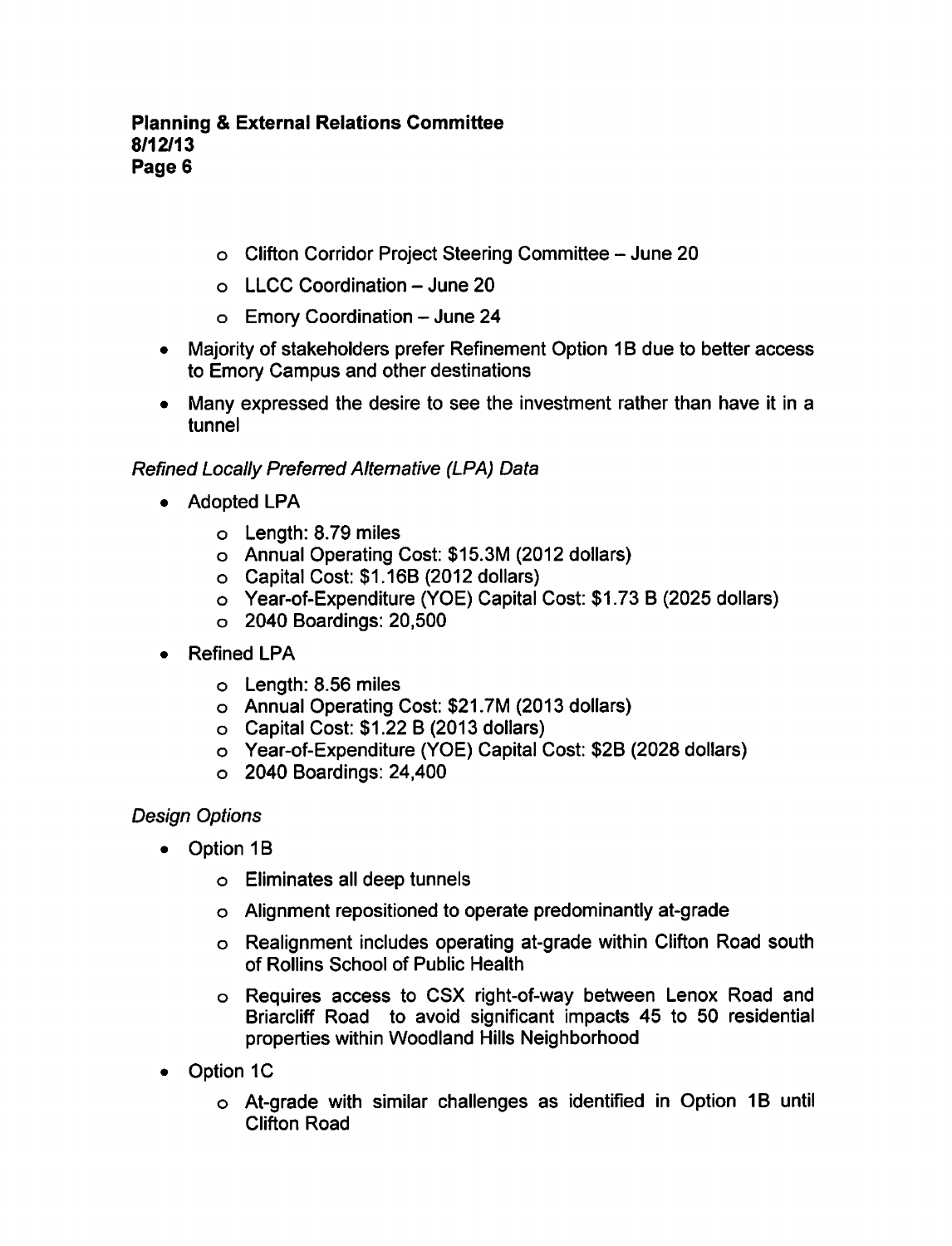- o Clifton Corridor Project Steering Committee June 20
- $\circ$  LLCC Coordination June 20
- $\circ$  Emory Coordination June 24
- Majority of stakeholders prefer Refinement Option 1B due to better access to Emory Campus and other destinations
- Many expressed the desire to see the investment rather than have it in a tunnel

## Refined Locally Preferred Alternative (LPA) Data

- Adopted LPA
	- Length: 8.79 miles
	- Annual Operating Cost: \$15.3M (2012 dollars)
	- Capital Cost: \$1.16B (2012 dollars)
	- o Year-of-Expenditure (YOE) Capital Cost: \$1.73 B (2025 dollars)
	- 2040 Boardings: 20,500
- Refined LPA  $\bullet$ 
	- Length: 8.56 miles
	- Annual Operating Cost: \$21.7M (2013 dollars)
	- $\circ$  Capital Cost: \$1.22 B (2013 dollars)
	- Year-of-Expenditure (YOE) Capital Cost: \$2B (2028 dollars)
	- 2040 Boardings: 24,400

## Design Options

- Option 1B
	- Eliminates all deep tunnels
	- Alignment repositioned to operate predominantly at-grade
	- Realignment includes operating at-grade within Clifton Road south of Rollins School of Public Health
	- Requires access to CSX right-of-way between Lenox Road and Briarcliff Road to avoid significant impacts 45 to 50 residential properties within Woodland Hills Neighborhood
- Option 1C  $\bullet$ 
	- At-grade with similar challenges as identified in Option 1B until Clifton Road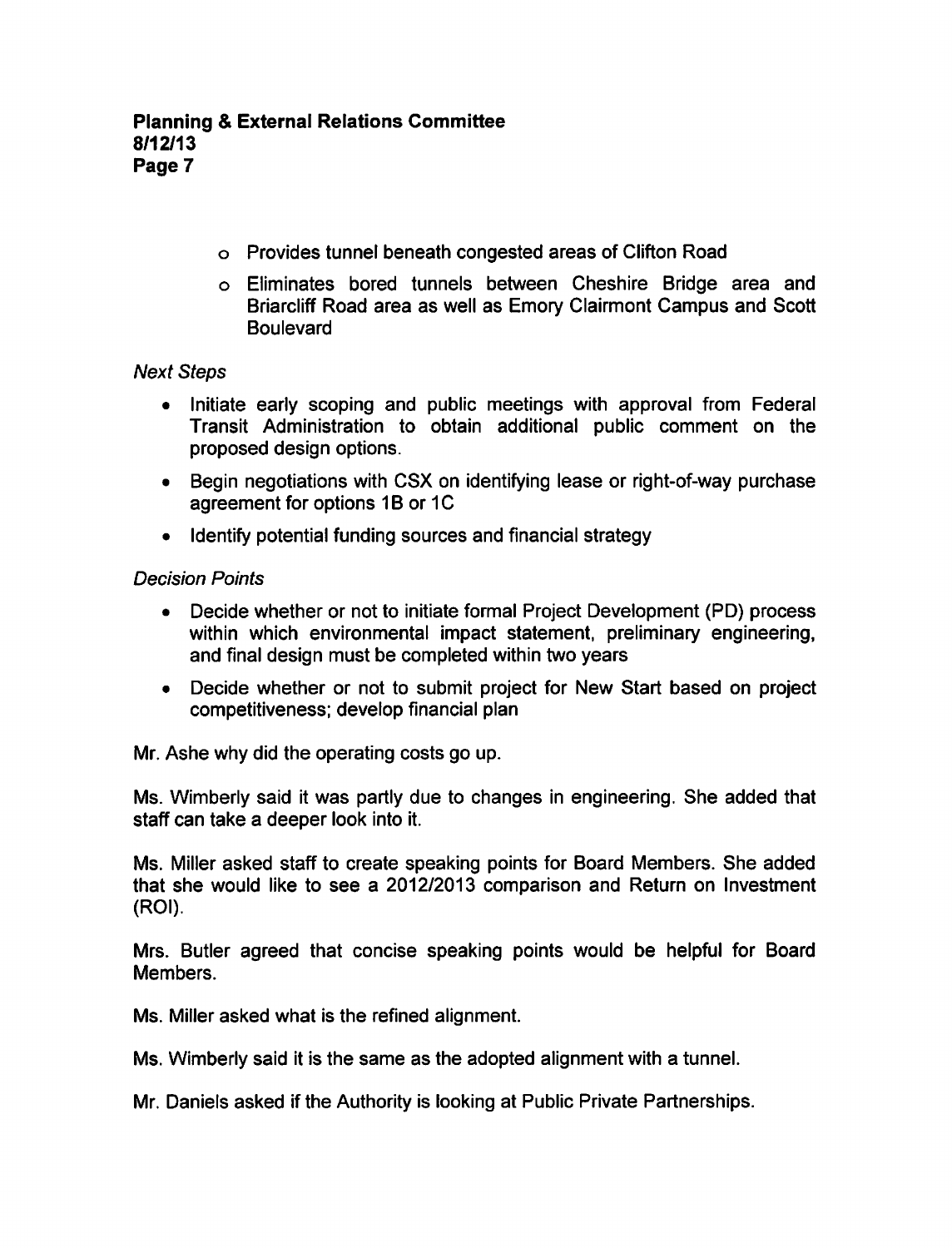- Provides tunnel beneath congested areas of Clifton Road
- Eliminates bored tunnels between Cheshire Bridge area and Briarcliff Road area as well as Emory Clairmont Campus and Scott **Boulevard**

## Next Steps

- Initiate early scoping and public meetings with approval from Federal Transit Administration to obtain additional public comment on the proposed design options.
- Begin negotiations with CSX on identifying lease or right-of-way purchase agreement for options 1B or 1C
- Identify potential funding sources and financial strategy

## Decision Points

- Decide whether or not to initiate formal Project Development (PD) process within which environmental impact statement, preliminary engineering, and final design must be completed within two years
- Decide whether or not to submit project for New Start based on project competitiveness; develop financial plan

Mr. Ashe why did the operating costs go up.

Ms. Wimberly said it was partly due to changes in engineering. She added that staff can take a deeper look into it.

Ms. Miller asked staff to create speaking points for Board Members. She added that she would like to see a 2012/2013 comparison and Return on Investment (ROI).

Mrs. Butler agreed that concise speaking points would be helpful for Board Members.

Ms. Miller asked what is the refined alignment.

Ms. Wimberly said it is the same as the adopted alignment with a tunnel.

Mr. Daniels asked if the Authority is looking at Public Private Partnerships.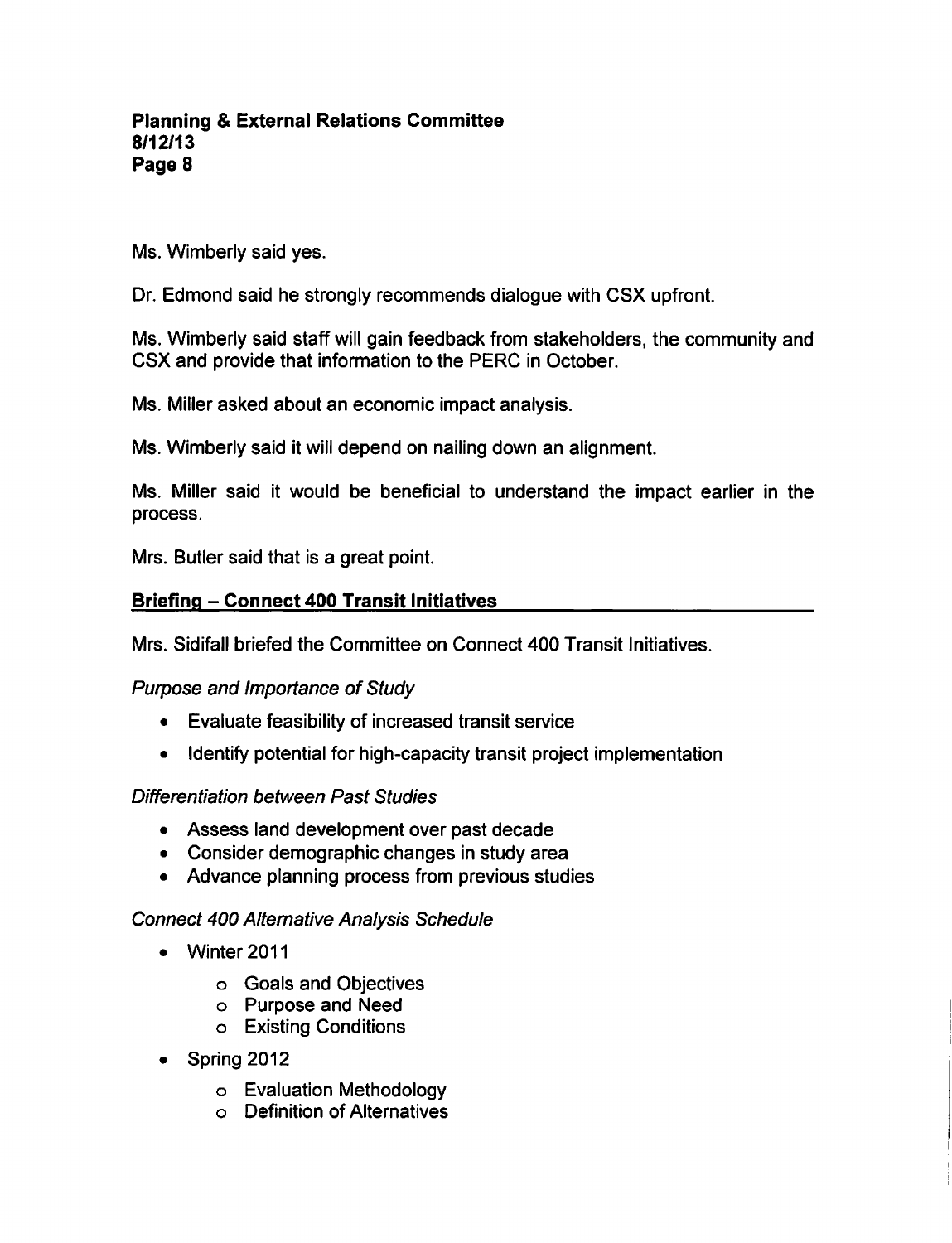Ms. Wimberly said yes.

Dr. Edmond said he strongly recommends dialogue with CSX upfront.

Ms. Wimberly said staff will gain feedback from stakeholders, the community and CSX and provide that information to the PERC in October.

Ms. Miller asked about an economic impact analysis.

Ms. Wimberly said it will depend on nailing down an alignment.

Ms. Miller said it would be beneficial to understand the impact earlier in the process.

Mrs. Butler said that is a great point.

### **Briefing - Connect 400 Transit Initiatives**

Mrs. Sidifall briefed the Committee on Connect 400 Transit Initiatives.

Purpose and Importance of Study

- Evaluate feasibility of increased transit service
- Identify potential for high-capacity transit project implementation  $\bullet$

#### Differentiation between Past Studies

- Assess land development over past decade
- Consider demographic changes in study area
- Advance planning process from previous studies

## Connect 400 Alternative Analysis Schedule

- Winter 2011
	- Goals and Objectives
	- Purpose and Need
	- Existing Conditions
- Spring 2012
	- Evaluation Methodology
	- Definition of Alternatives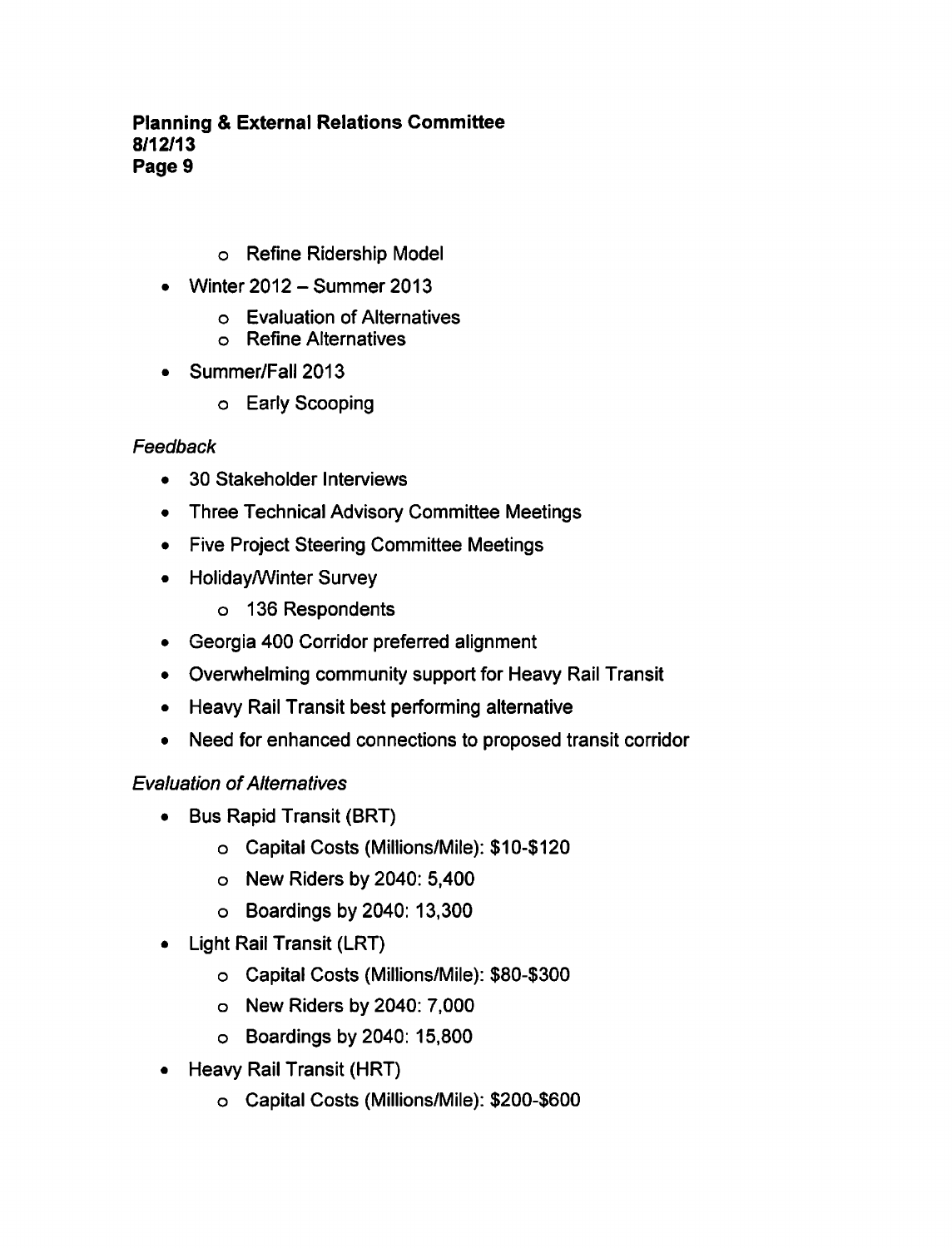- Refine Ridership Model
- Winter 2012 Summer 2013  $\bullet$ 
	- Evaluation of Alternatives
	- Refine Alternatives
- Summer/Fall 2013
	- Early Scooping

## Feedback

- 30 Stakeholder Interviews  $\bullet$
- Three Technical Advisory Committee Meetings
- Five Project Steering Committee Meetings
- Holiday/Winter Survey
	- 136 Respondents
- Georgia 400 Corridor preferred alignment
- Overwhelming community support for Heavy Rail Transit
- Heavy Rail Transit best performing alternative
- Need for enhanced connections to proposed transit corridor

## Evaluation of Alternatives

- Bus Rapid Transit (BRT)  $\bullet$ 
	- Capital Costs (Millions/Mile): \$10-\$120
	- $\circ$  New Riders by 2040: 5,400
	- $\circ$  Boardings by 2040: 13,300
- Light Rail Transit (LRT)
	- Capital Costs (Millions/Mile): \$80-\$300
	- New Riders by 2040: 7,000
	- Boardings by 2040: 15,800
- Heavy Rail Transit (HRT)
	- Capital Costs (Millions/Mile): \$200-\$600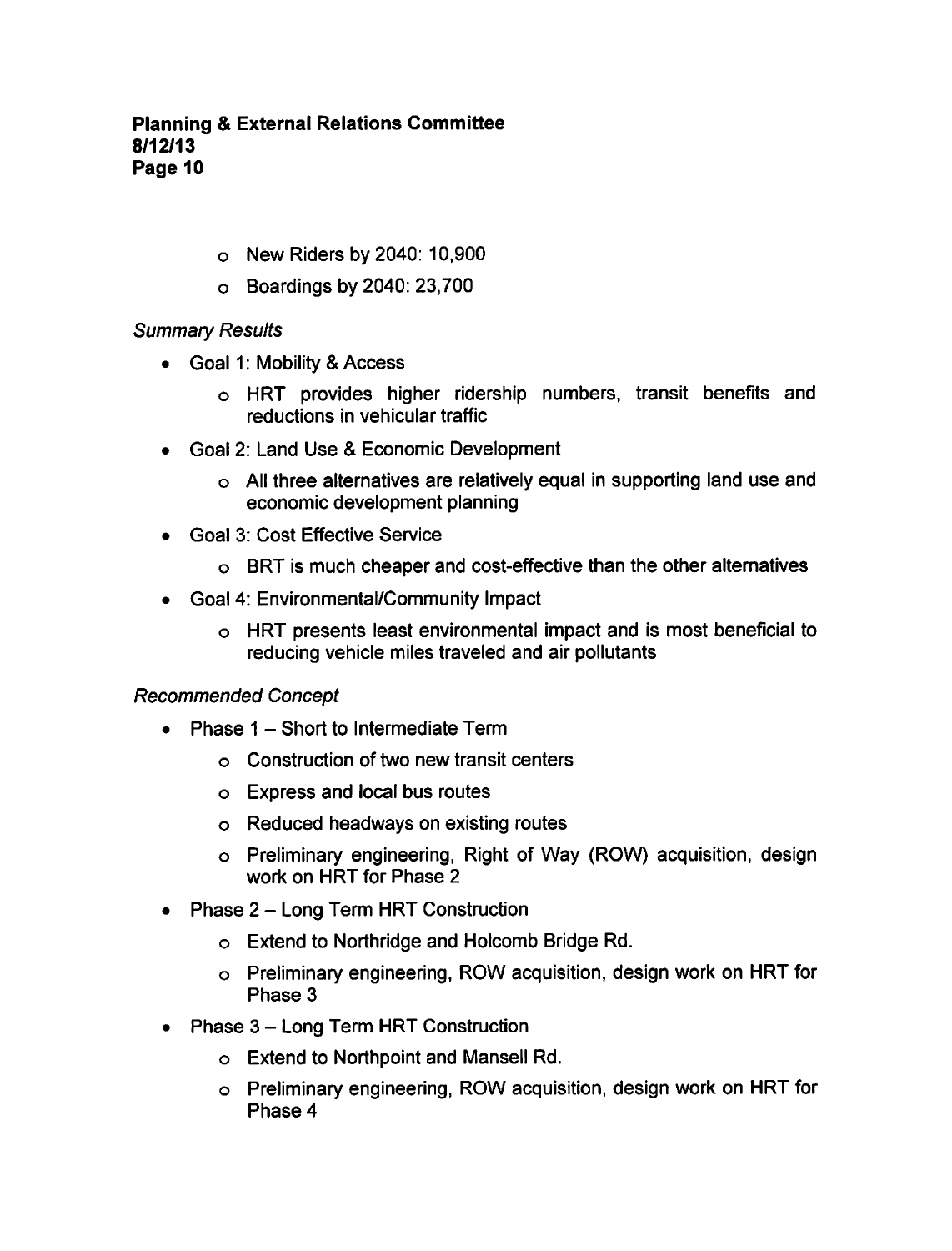- New Riders by 2040: 10,900
- Boardings by 2040: 23,700

## Summary Results

- Goal 1: Mobility & Access
	- HRT provides higher ridership numbers, transit benefits and reductions in vehicular traffic
- Goal 2: Land Use Economic Development
	- All three alternatives are relatively equal in supporting land use and economic development planning
- Goal 3: Cost Effective Service
	- BRT is much cheaper and cost-effective than the other alternatives
- Goal 4: Environmental/Community Impact
	- HRT presents least environmental impact and is most beneficial to reducing vehicle miles traveled and air pollutants

## Recommended Concept

- Phase  $1 -$  Short to Intermediate Term
	- Construction of two new transit centers
	- Express and local bus routes
	- Reduced headways on existing routes
	- Preliminary engineering, Right of Way (ROW) acquisition, design work on HRT for Phase
- Phase 2 Long Term HRT Construction  $\bullet$ 
	- Extend to Northridge and Holcomb Bridge Rd.
	- Preliminary engineering, ROW acquisition, design work on HRT for Phase 3
- Phase  $3 Long$  Term HRT Construction
	- Extend to Northpoint and Mansell Rd.
	- Preliminary engineering, ROW acquisition, design work on HRT for Phase 4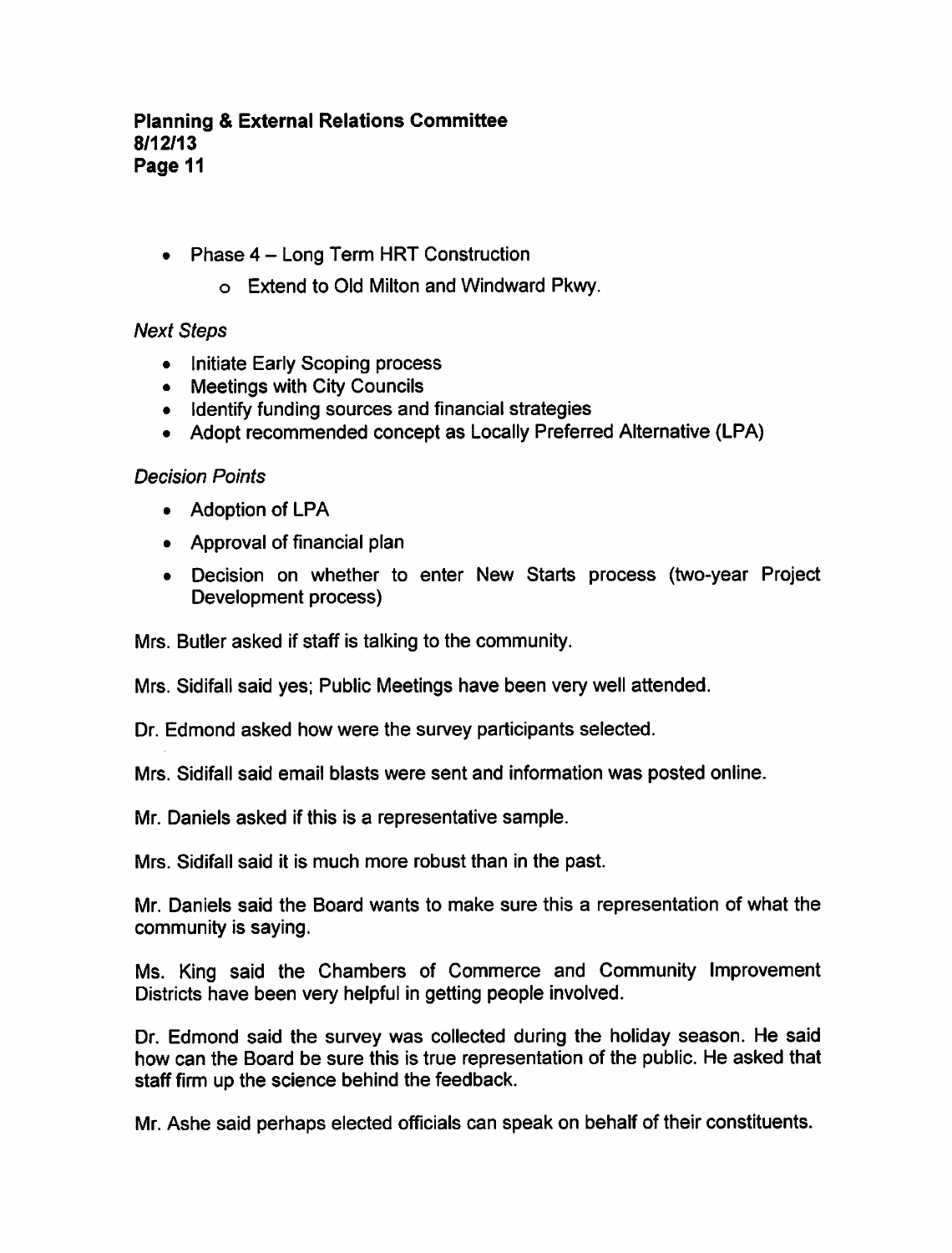- Phase  $4 Long Term HRT$  Construction
	- Extend to Old Milton and Windward Pkwy.

## Next Steps

- Initiate Early Scoping process
- Meetings with City Councils
- Identify funding sources and financial strategies
- Adopt recommended concept as Locally Preferred Alternative (LPA)

## Decision Points

- Adoption of LPA
- Approval of financial plan
- Decision on whether to enter New Starts process (two-year Project Development process)

Mrs. Butler asked if staff is talking to the community.

Mrs. Sidifall said yes; Public Meetings have been very well attended.

Dr. Edmond asked how were the survey participants selected.

Mrs. Sidifall said email blasts were sent and information was posted online.

Mr. Daniels asked if this is a representative sample.

Mrs. Sidifall said it is much more robust than in the past.

Mr. Daniels said the Board wants to make sure this a representation of what the community is saying.

Ms. King said the Chambers of Commerce and Community Improvement Districts have been very helpful in getting people involved.

Dr. Edmond said the survey was collected during the holiday season. He said how can the Board be sure this is true representation of the public. He asked that staff firm up the science behind the feedback.

Mr. Ashe said perhaps elected officials can speak on behalf of their constituents.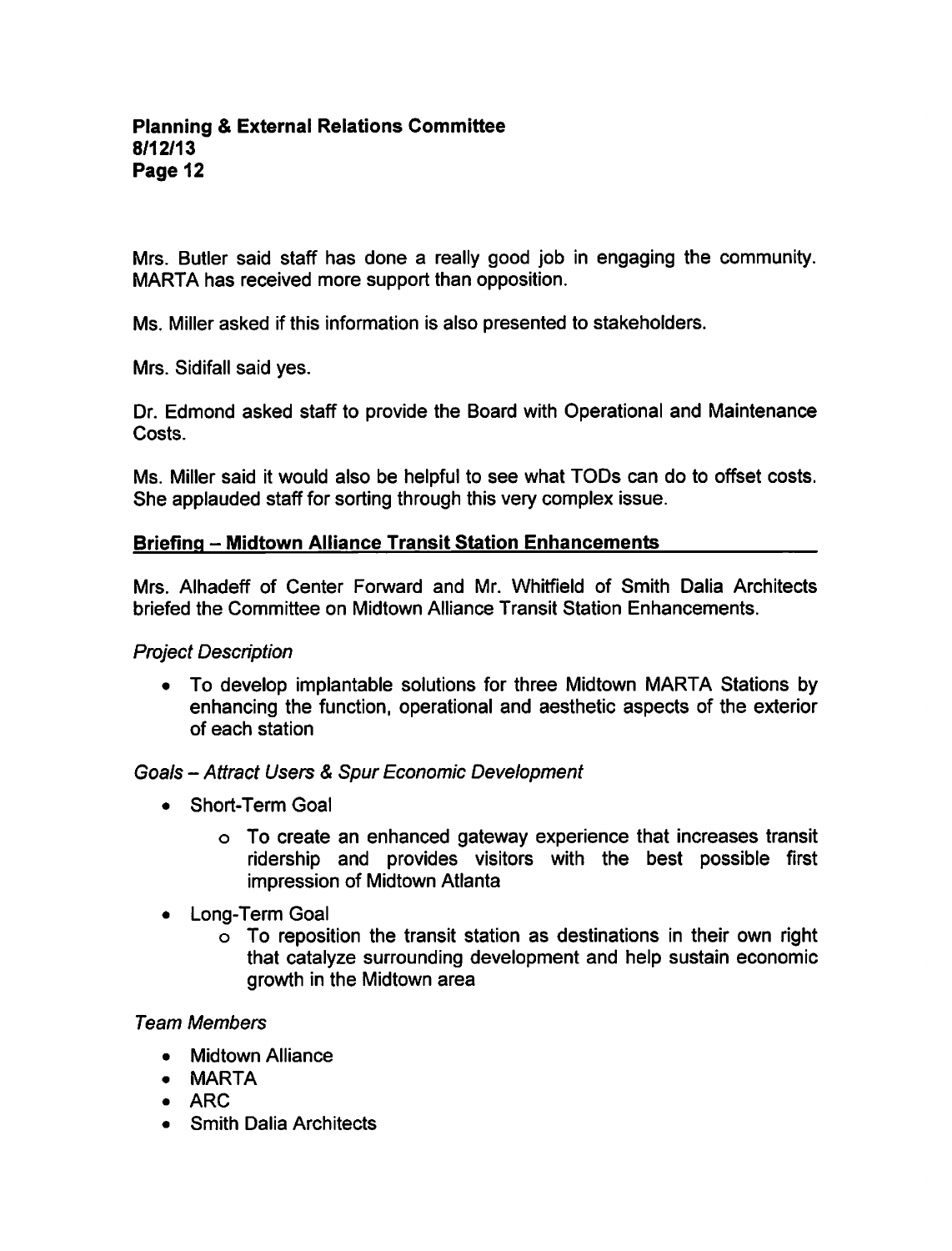Mrs. Butler said staff has done a really good job in engaging the community. MARTA has received more support than opposition.

Ms. Miller asked if this information is also presented to stakeholders.

Mrs. Sidifall said yes.

Dr. Edmond asked staff to provide the Board with Operational and Maintenance Costs.

Ms. Miller said it would also be helpful to see what TODs can do to offset costs. She applauded staff for sorting through this very complex issue.

### Briefing - Midtown Alliance Transit Station Enhancements

Mrs. Alhadeff of Center Forward and Mr. Whitfield of Smith Dalia Architects briefed the Committee on Midtown Alliance Transit Station Enhancements.

#### Project Description

To develop implantable solutions for three Midtown MARTA Stations by enhancing the function, operational and aesthetic aspects of the exterior of each station

## Goals - Attract Users & Spur Economic Development

- Short-Term Goal
	- To create an enhanced gateway experience that increases transit ridership and provides visitors with the best possible first impression of Midtown Atlanta
- Long-Term Goal
	- To reposition the transit station as destinations in their own right that catalyze surrounding development and help sustain economic growth in the Midtown area

#### Team Members

- Midtown Alliance
- MARTA
- $\bullet$  ARC
- Smith Dalia Architects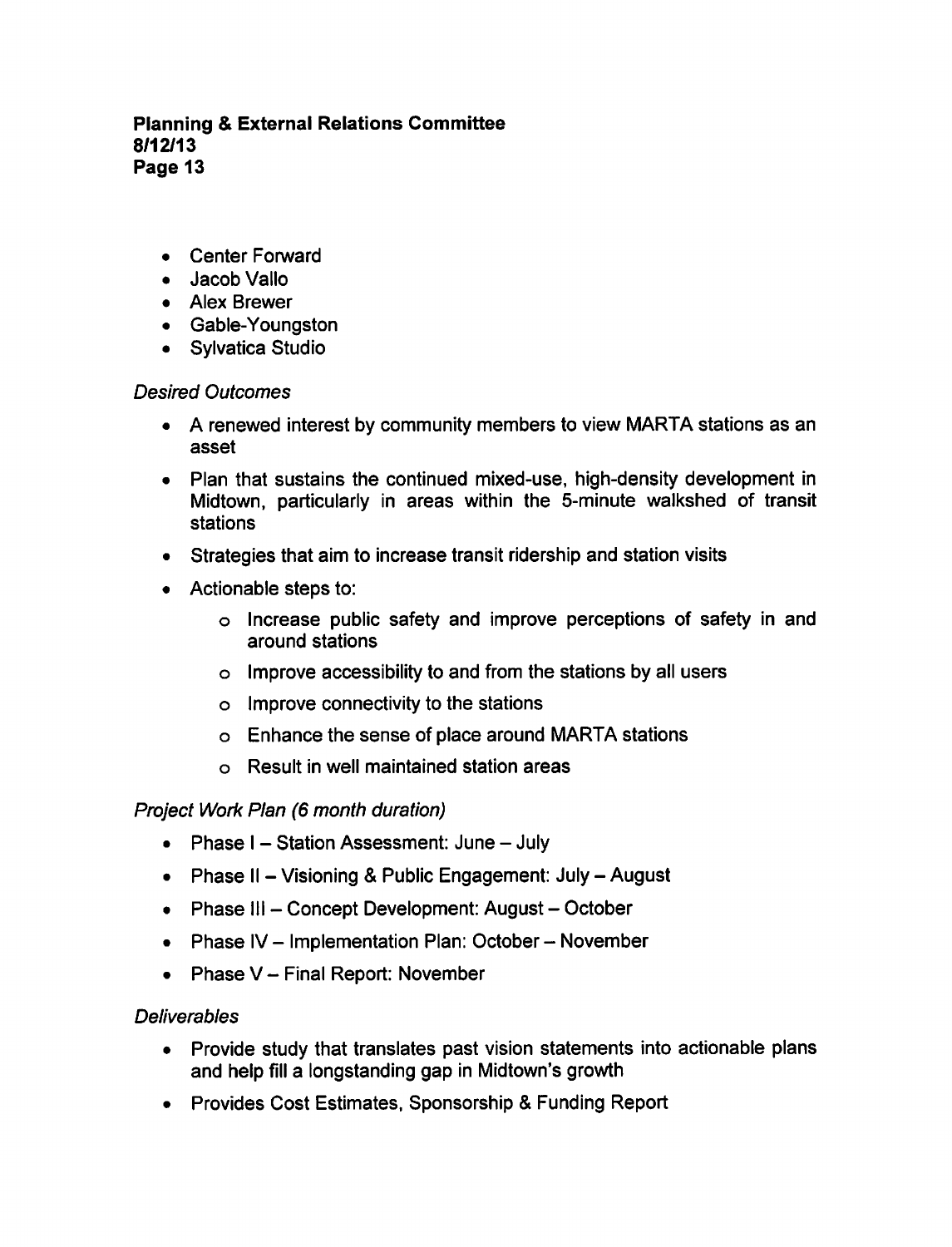- Center Forward
- Jacob Vallo
- Alex Brewer
- Gable-Youngston
- Sylvatica Studio

# Desired Outcomes

- A renewed interest by community members to view MARTA stations as an asset
- Plan that sustains the continued mixed-use, high-density development in Midtown, particularly in areas within the 5-minute walkshed of transit stations
- Strategies that aim to increase transit ridership and station visits
- Actionable steps to:
	- Increase public safety and improve perceptions of safety in and around stations
	- $\circ$  Improve accessibility to and from the stations by all users
	- $\circ$  Improve connectivity to the stations
	- Enhance the sense of place around MARTA stations
	- Result in well maintained station areas

# Project Work Plan (6 month duration)

- Phase  $I -$  Station Assessment: June  $-$  July
- Phase II Visioning & Public Engagement: July August
- Phase III Concept Development: August October
- Phase IV Implementation Plan: October November
- Phase  $V -$  Final Report: November

# **Deliverables**

- Provide study that translates past vision statements into actionable plans and help fill a longstanding gap in Midtown's growth
- Provides Cost Estimates, Sponsorship & Funding Report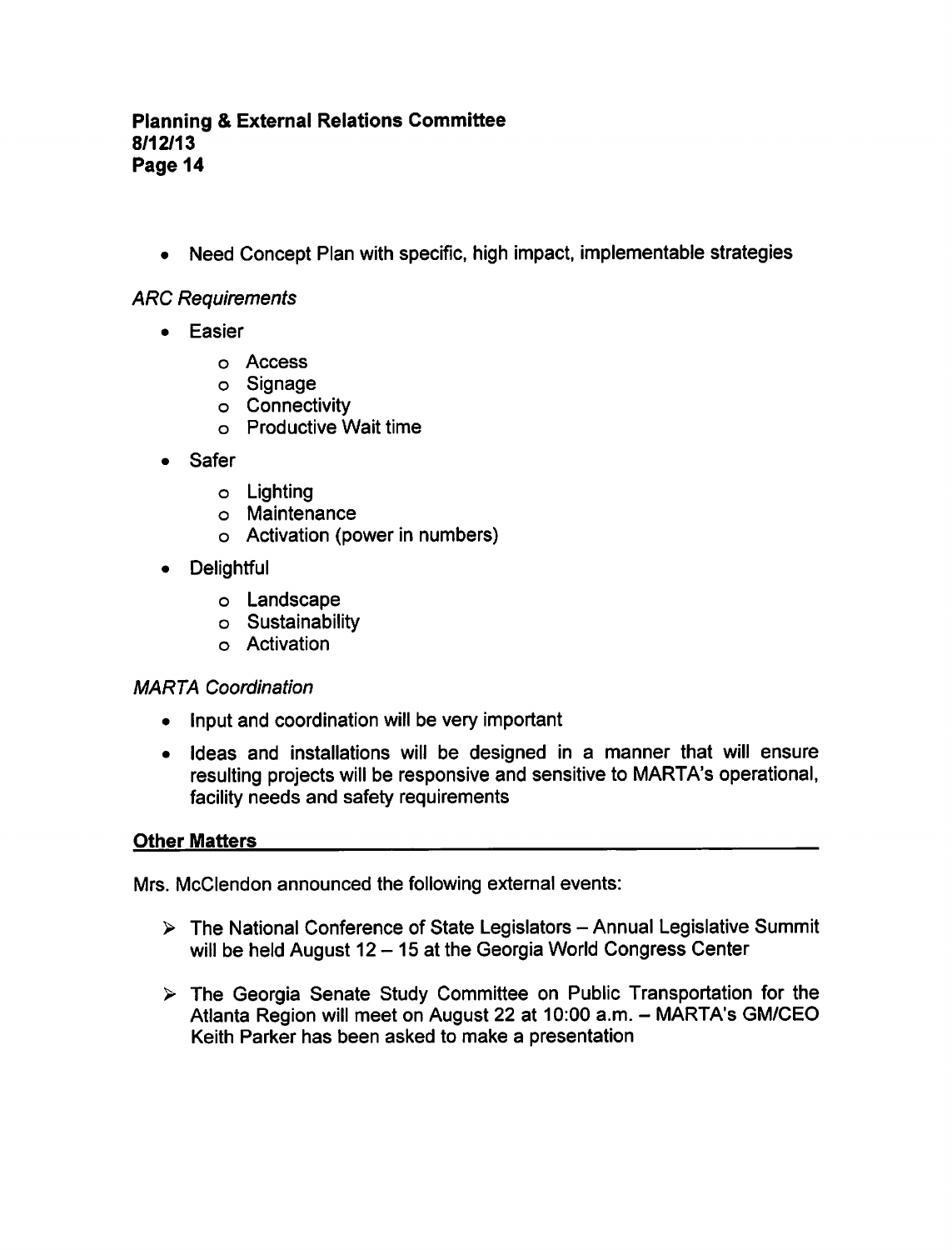• Need Concept Plan with specific, high impact, implementable strategies

ARC Requirements

- **•** Easier
	- Access
	- Signage
	- Connectivity
	- Productive Wait time
- Safer  $\bullet$ 
	- Lighting
	- Maintenance
	- Activation (power in numbers)
- **Delightful** 
	- o Landscape
	- Sustainability
	- Activation

## MARTA Coordination

- Input and coordination will be very important
- Ideas and installations will be designed in a manner that will ensure resulting projects will be responsive and sensitive to MARTA's operational, facility needs and safety requirements

## Other Matters

Mrs. McClendon announced the following external events:

- $\triangleright$  The National Conference of State Legislators Annual Legislative Summit will be held August  $12 - 15$  at the Georgia World Congress Center
- $\triangleright$  The Georgia Senate Study Committee on Public Transportation for the Atlanta Region will meet on August 22 at 10:00 a.m. - MARTA's GM/CEO Keith Parker has been asked to make a presentation